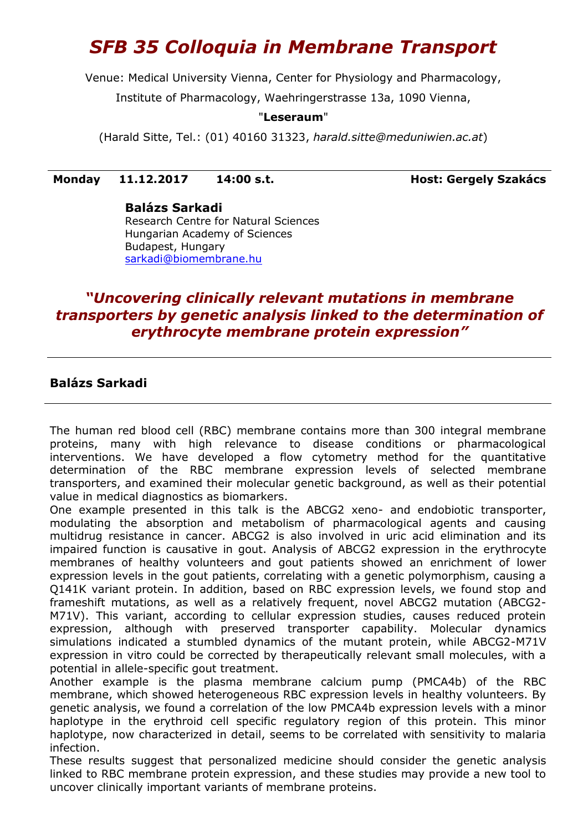# *SFB 35 Colloquia in Membrane Transport*

Venue: Medical University Vienna, Center for Physiology and Pharmacology,

Institute of Pharmacology, Waehringerstrasse 13a, 1090 Vienna,

### "**Leseraum**"

(Harald Sitte, Tel.: (01) 40160 31323, *[harald.sitte@meduniwien.ac.at](mailto:harald.sitte@meduniwien.ac.at)*)

### **Monday 11.12.2017 14:00 s.t. Host: Gergely Szakács**

**Balázs Sarkadi** Research Centre for Natural Sciences Hungarian Academy of Sciences Budapest, Hungary [sarkadi@biomembrane.hu](mailto:sarkadi@biomembrane.hu)

## *"Uncovering clinically relevant mutations in membrane transporters by genetic analysis linked to the determination of erythrocyte membrane protein expression"*

### **Balázs Sarkadi**

The human red blood cell (RBC) membrane contains more than 300 integral membrane proteins, many with high relevance to disease conditions or pharmacological interventions. We have developed a flow cytometry method for the quantitative determination of the RBC membrane expression levels of selected membrane transporters, and examined their molecular genetic background, as well as their potential value in medical diagnostics as biomarkers.

One example presented in this talk is the ABCG2 xeno- and endobiotic transporter, modulating the absorption and metabolism of pharmacological agents and causing multidrug resistance in cancer. ABCG2 is also involved in uric acid elimination and its impaired function is causative in gout. Analysis of ABCG2 expression in the erythrocyte membranes of healthy volunteers and gout patients showed an enrichment of lower expression levels in the gout patients, correlating with a genetic polymorphism, causing a Q141K variant protein. In addition, based on RBC expression levels, we found stop and frameshift mutations, as well as a relatively frequent, novel ABCG2 mutation (ABCG2- M71V). This variant, according to cellular expression studies, causes reduced protein expression, although with preserved transporter capability. Molecular dynamics simulations indicated a stumbled dynamics of the mutant protein, while ABCG2-M71V expression in vitro could be corrected by therapeutically relevant small molecules, with a potential in allele-specific gout treatment.

Another example is the plasma membrane calcium pump (PMCA4b) of the RBC membrane, which showed heterogeneous RBC expression levels in healthy volunteers. By genetic analysis, we found a correlation of the low PMCA4b expression levels with a minor haplotype in the erythroid cell specific regulatory region of this protein. This minor haplotype, now characterized in detail, seems to be correlated with sensitivity to malaria infection.

These results suggest that personalized medicine should consider the genetic analysis linked to RBC membrane protein expression, and these studies may provide a new tool to uncover clinically important variants of membrane proteins.